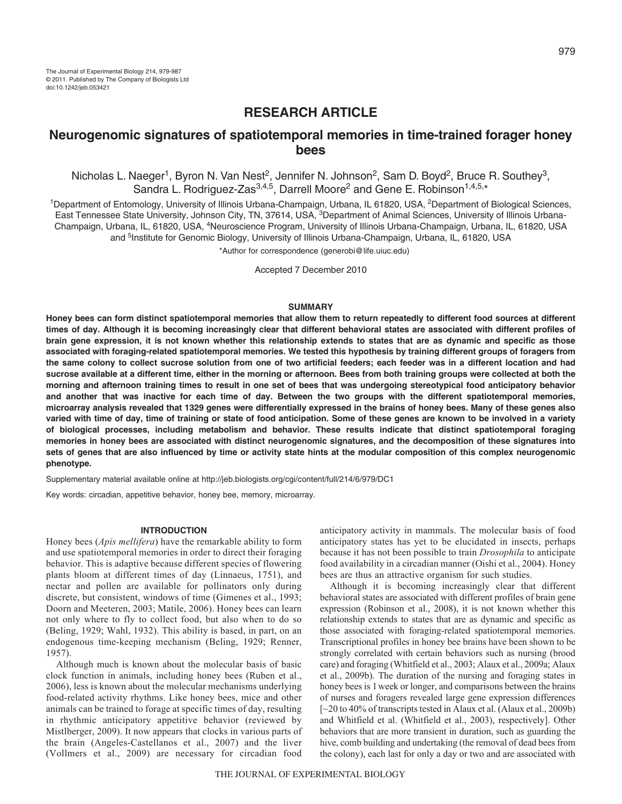# **RESEARCH ARTICLE**

# **Neurogenomic signatures of spatiotemporal memories in time-trained forager honey bees**

Nicholas L. Naeger<sup>1</sup>, Byron N. Van Nest<sup>2</sup>, Jennifer N. Johnson<sup>2</sup>, Sam D. Boyd<sup>2</sup>, Bruce R. Southey<sup>3</sup>, Sandra L. Rodriguez-Zas<sup>3,4,5</sup>, Darrell Moore<sup>2</sup> and Gene E. Robinson<sup>1,4,5,\*</sup>

<sup>1</sup>Department of Entomology, University of Illinois Urbana-Champaign, Urbana, IL 61820, USA, <sup>2</sup>Department of Biological Sciences, East Tennessee State University, Johnson City, TN, 37614, USA, <sup>3</sup>Department of Animal Sciences, University of Illinois Urbana-Champaign, Urbana, IL, 61820, USA, 4Neuroscience Program, University of Illinois Urbana-Champaign, Urbana, IL, 61820, USA and <sup>5</sup>Institute for Genomic Biology, University of Illinois Urbana-Champaign, Urbana, IL, 61820, USA \*Author for correspondence (generobi@life.uiuc.edu)

Accepted 7 December 2010

#### **SUMMARY**

**Honey bees can form distinct spatiotemporal memories that allow them to return repeatedly to different food sources at different times of day. Although it is becoming increasingly clear that different behavioral states are associated with different profiles of brain gene expression, it is not known whether this relationship extends to states that are as dynamic and specific as those associated with foraging-related spatiotemporal memories. We tested this hypothesis by training different groups of foragers from the same colony to collect sucrose solution from one of two artificial feeders; each feeder was in a different location and had sucrose available at a different time, either in the morning or afternoon. Bees from both training groups were collected at both the morning and afternoon training times to result in one set of bees that was undergoing stereotypical food anticipatory behavior and another that was inactive for each time of day. Between the two groups with the different spatiotemporal memories, microarray analysis revealed that 1329 genes were differentially expressed in the brains of honey bees. Many of these genes also varied with time of day, time of training or state of food anticipation. Some of these genes are known to be involved in a variety of biological processes, including metabolism and behavior. These results indicate that distinct spatiotemporal foraging memories in honey bees are associated with distinct neurogenomic signatures, and the decomposition of these signatures into sets of genes that are also influenced by time or activity state hints at the modular composition of this complex neurogenomic phenotype.**

Supplementary material available online at http://jeb.biologists.org/cgi/content/full/214/6/979/DC1

Key words: circadian, appetitive behavior, honey bee, memory, microarray.

#### **INTRODUCTION**

Honey bees (*Apis mellifera*) have the remarkable ability to form and use spatiotemporal memories in order to direct their foraging behavior. This is adaptive because different species of flowering plants bloom at different times of day (Linnaeus, 1751), and nectar and pollen are available for pollinators only during discrete, but consistent, windows of time (Gimenes et al., 1993; Doorn and Meeteren, 2003; Matile, 2006). Honey bees can learn not only where to fly to collect food, but also when to do so (Beling, 1929; Wahl, 1932). This ability is based, in part, on an endogenous time-keeping mechanism (Beling, 1929; Renner, 1957).

Although much is known about the molecular basis of basic clock function in animals, including honey bees (Ruben et al., 2006), less is known about the molecular mechanisms underlying food-related activity rhythms. Like honey bees, mice and other animals can be trained to forage at specific times of day, resulting in rhythmic anticipatory appetitive behavior (reviewed by Mistlberger, 2009). It now appears that clocks in various parts of the brain (Angeles-Castellanos et al., 2007) and the liver (Vollmers et al., 2009) are necessary for circadian food

anticipatory activity in mammals. The molecular basis of food anticipatory states has yet to be elucidated in insects, perhaps because it has not been possible to train *Drosophila* to anticipate food availability in a circadian manner (Oishi et al., 2004). Honey bees are thus an attractive organism for such studies.

Although it is becoming increasingly clear that different behavioral states are associated with different profiles of brain gene expression (Robinson et al., 2008), it is not known whether this relationship extends to states that are as dynamic and specific as those associated with foraging-related spatiotemporal memories. Transcriptional profiles in honey bee brains have been shown to be strongly correlated with certain behaviors such as nursing (brood care) and foraging (Whitfield et al., 2003; Alaux et al., 2009a; Alaux et al., 2009b). The duration of the nursing and foraging states in honey bees is 1week or longer, and comparisons between the brains of nurses and foragers revealed large gene expression differences [~20 to 40% of transcripts tested in Alaux et al. (Alaux et al., 2009b) and Whitfield et al. (Whitfield et al., 2003), respectively]. Other behaviors that are more transient in duration, such as guarding the hive, comb building and undertaking (the removal of dead bees from the colony), each last for only a day or two and are associated with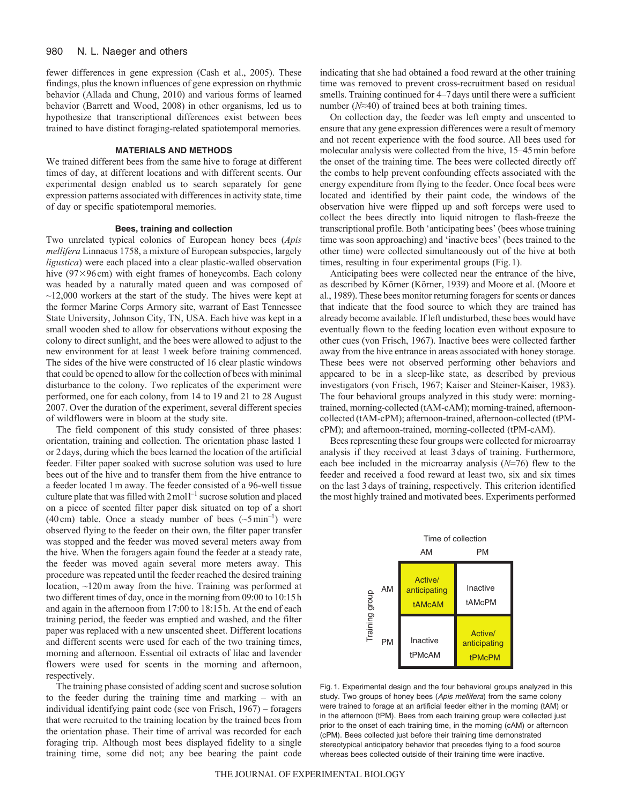fewer differences in gene expression (Cash et al., 2005). These findings, plus the known influences of gene expression on rhythmic behavior (Allada and Chung, 2010) and various forms of learned behavior (Barrett and Wood, 2008) in other organisms, led us to hypothesize that transcriptional differences exist between bees trained to have distinct foraging-related spatiotemporal memories.

## **MATERIALS AND METHODS**

We trained different bees from the same hive to forage at different times of day, at different locations and with different scents. Our experimental design enabled us to search separately for gene expression patterns associated with differences in activity state, time of day or specific spatiotemporal memories.

#### **Bees, training and collection**

Two unrelated typical colonies of European honey bees (*Apis mellifera* Linnaeus 1758, a mixture of European subspecies, largely *ligustica*) were each placed into a clear plastic-walled observation hive (97×96 cm) with eight frames of honeycombs. Each colony was headed by a naturally mated queen and was composed of  $\sim$ 12,000 workers at the start of the study. The hives were kept at the former Marine Corps Armory site, warrant of East Tennessee State University, Johnson City, TN, USA. Each hive was kept in a small wooden shed to allow for observations without exposing the colony to direct sunlight, and the bees were allowed to adjust to the new environment for at least 1week before training commenced. The sides of the hive were constructed of 16 clear plastic windows that could be opened to allow for the collection of bees with minimal disturbance to the colony. Two replicates of the experiment were performed, one for each colony, from 14 to 19 and 21 to 28 August 2007. Over the duration of the experiment, several different species of wildflowers were in bloom at the study site.

The field component of this study consisted of three phases: orientation, training and collection. The orientation phase lasted 1 or 2days, during which the bees learned the location of the artificial feeder. Filter paper soaked with sucrose solution was used to lure bees out of the hive and to transfer them from the hive entrance to a feeder located 1m away. The feeder consisted of a 96-well tissue culture plate that was filled with  $2 \text{ mol}^{-1}$  sucrose solution and placed on a piece of scented filter paper disk situated on top of a short (40cm) table. Once a steady number of bees  $(\sim 5 \text{min}^{-1})$  were observed flying to the feeder on their own, the filter paper transfer was stopped and the feeder was moved several meters away from the hive. When the foragers again found the feeder at a steady rate, the feeder was moved again several more meters away. This procedure was repeated until the feeder reached the desired training location, ~120m away from the hive. Training was performed at two different times of day, once in the morning from 09:00 to 10:15h and again in the afternoon from 17:00 to 18:15h. At the end of each training period, the feeder was emptied and washed, and the filter paper was replaced with a new unscented sheet. Different locations and different scents were used for each of the two training times, morning and afternoon. Essential oil extracts of lilac and lavender flowers were used for scents in the morning and afternoon, respectively.

The training phase consisted of adding scent and sucrose solution to the feeder during the training time and marking – with an individual identifying paint code (see von Frisch, 1967) – foragers that were recruited to the training location by the trained bees from the orientation phase. Their time of arrival was recorded for each foraging trip. Although most bees displayed fidelity to a single training time, some did not; any bee bearing the paint code indicating that she had obtained a food reward at the other training time was removed to prevent cross-recruitment based on residual smells. Training continued for 4–7 days until there were a sufficient number (*N*≈40) of trained bees at both training times.

On collection day, the feeder was left empty and unscented to ensure that any gene expression differences were a result of memory and not recent experience with the food source. All bees used for molecular analysis were collected from the hive, 15–45min before the onset of the training time. The bees were collected directly off the combs to help prevent confounding effects associated with the energy expenditure from flying to the feeder. Once focal bees were located and identified by their paint code, the windows of the observation hive were flipped up and soft forceps were used to collect the bees directly into liquid nitrogen to flash-freeze the transcriptional profile. Both 'anticipating bees' (bees whose training time was soon approaching) and 'inactive bees' (bees trained to the other time) were collected simultaneously out of the hive at both times, resulting in four experimental groups (Fig.1).

Anticipating bees were collected near the entrance of the hive, as described by Körner (Körner, 1939) and Moore et al. (Moore et al., 1989). These bees monitor returning foragers for scents or dances that indicate that the food source to which they are trained has already become available. If left undisturbed, these bees would have eventually flown to the feeding location even without exposure to other cues (von Frisch, 1967). Inactive bees were collected farther away from the hive entrance in areas associated with honey storage. These bees were not observed performing other behaviors and appeared to be in a sleep-like state, as described by previous investigators (von Frisch, 1967; Kaiser and Steiner-Kaiser, 1983). The four behavioral groups analyzed in this study were: morningtrained, morning-collected (tAM-cAM); morning-trained, afternooncollected (tAM-cPM); afternoon-trained, afternoon-collected (tPMcPM); and afternoon-trained, morning-collected (tPM-cAM).

Bees representing these four groups were collected for microarray analysis if they received at least 3days of training. Furthermore, each bee included in the microarray analysis  $(N=76)$  flew to the feeder and received a food reward at least two, six and six times on the last 3days of training, respectively. This criterion identified the most highly trained and motivated bees. Experiments performed



Fig. 1. Experimental design and the four behavioral groups analyzed in this study. Two groups of honey bees (Apis mellifera) from the same colony were trained to forage at an artificial feeder either in the morning (tAM) or in the afternoon (tPM). Bees from each training group were collected just prior to the onset of each training time, in the morning (cAM) or afternoon (cPM). Bees collected just before their training time demonstrated stereotypical anticipatory behavior that precedes flying to a food source whereas bees collected outside of their training time were inactive.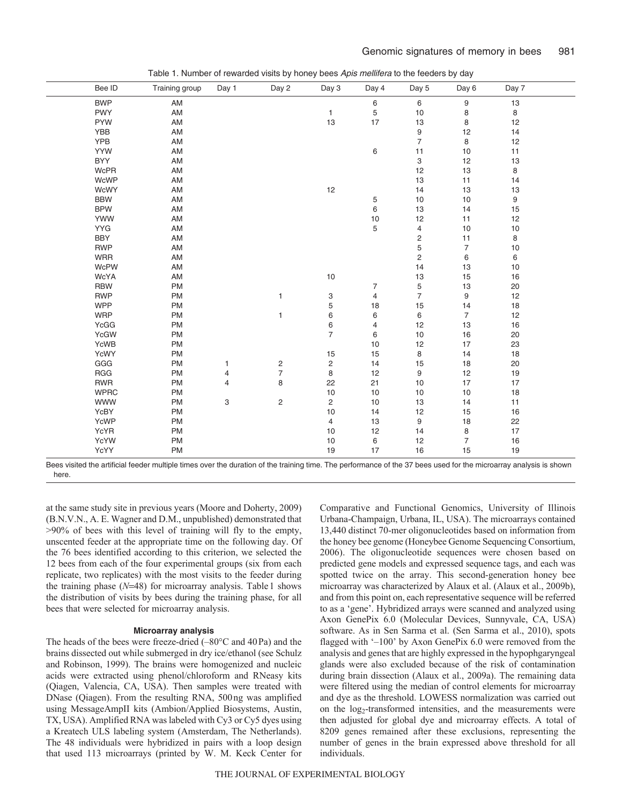| Bee ID      | Training group | Day 1          | Day 2                   | Day 3                   | Day 4          | Day 5                   | Day 6                    | Day 7 |  |
|-------------|----------------|----------------|-------------------------|-------------------------|----------------|-------------------------|--------------------------|-------|--|
| <b>BWP</b>  | AM             |                |                         |                         | 6              | 6                       | 9                        | 13    |  |
| <b>PWY</b>  | AM             |                |                         | $\mathbf{1}$            | 5              | 10                      | 8                        | 8     |  |
| <b>PYW</b>  | AM             |                |                         | 13                      | 17             | 13                      | 8                        | 12    |  |
| YBB         | AM             |                |                         |                         |                | 9                       | 12                       | 14    |  |
| <b>YPB</b>  | AM             |                |                         |                         |                | $\overline{7}$          | 8                        | 12    |  |
| <b>YYW</b>  | AM             |                |                         |                         | 6              | 11                      | $10$                     | 11    |  |
| <b>BYY</b>  | AM             |                |                         |                         |                | 3                       | 12                       | 13    |  |
| <b>WcPR</b> | AM             |                |                         |                         |                | 12                      | 13                       | 8     |  |
| <b>WcWP</b> | AM             |                |                         |                         |                | 13                      | 11                       | 14    |  |
| <b>WcWY</b> | AM             |                |                         | 12                      |                | 14                      | 13                       | 13    |  |
| <b>BBW</b>  | AM             |                |                         |                         | 5              | 10                      | 10                       | 9     |  |
| <b>BPW</b>  | AM             |                |                         |                         | $\,6$          | 13                      | 14                       | 15    |  |
| <b>YWW</b>  | AM             |                |                         |                         | $10$           | 12                      | 11                       | 12    |  |
| <b>YYG</b>  | AM             |                |                         |                         | 5              | 4                       | 10                       | 10    |  |
| <b>BBY</b>  | AM             |                |                         |                         |                | $\overline{\mathbf{c}}$ | 11                       | 8     |  |
| <b>RWP</b>  | AM             |                |                         |                         |                | $\,$ 5 $\,$             | $\overline{7}$           | 10    |  |
| <b>WRR</b>  | AM             |                |                         |                         |                | $\mathbf{2}$            | 6                        | 6     |  |
| <b>WcPW</b> | AM             |                |                         |                         |                | 14                      | 13                       | 10    |  |
| <b>WcYA</b> | AM             |                |                         | 10                      |                | 13                      | 15                       | 16    |  |
| <b>RBW</b>  | <b>PM</b>      |                |                         |                         | $\overline{7}$ | 5                       | 13                       | 20    |  |
| <b>RWP</b>  | <b>PM</b>      |                | 1                       | 3                       | 4              | $\overline{7}$          | 9                        | 12    |  |
| <b>WPP</b>  | <b>PM</b>      |                |                         | 5                       | 18             | 15                      | 14                       | 18    |  |
| <b>WRP</b>  | <b>PM</b>      |                | $\mathbf{1}$            | 6                       | 6              | 6                       | $\overline{7}$           | 12    |  |
| <b>YcGG</b> | <b>PM</b>      |                |                         | 6                       | 4              | 12                      | 13                       | 16    |  |
| YcGW        | <b>PM</b>      |                |                         | $\overline{7}$          | 6              | 10                      | 16                       | 20    |  |
| YcWB        | <b>PM</b>      |                |                         |                         | 10             | 12                      | 17                       | 23    |  |
| YcWY        | <b>PM</b>      |                |                         | 15                      | 15             | 8                       | 14                       | 18    |  |
| GGG         | PM             | 1              | $\overline{\mathbf{c}}$ | $\overline{\mathbf{c}}$ | 14             | 15                      | 18                       | 20    |  |
| <b>RGG</b>  | <b>PM</b>      | $\overline{4}$ | $\overline{7}$          | 8                       | 12             | 9                       | 12                       | 19    |  |
| <b>RWR</b>  | <b>PM</b>      | $\overline{4}$ | 8                       | 22                      | 21             | 10                      | 17                       | 17    |  |
| <b>WPRC</b> | <b>PM</b>      |                |                         | 10                      | 10             | 10                      | 10                       | 18    |  |
| <b>WWW</b>  | <b>PM</b>      | 3              | $\overline{c}$          | $\overline{c}$          | 10             | 13                      | 14                       | 11    |  |
| YcBY        | <b>PM</b>      |                |                         | 10                      | 14             | 12                      | 15                       | 16    |  |
| YcWP        | <b>PM</b>      |                |                         | $\overline{4}$          | 13             | 9                       | 18                       | 22    |  |
| YcYR        | <b>PM</b>      |                |                         | 10                      | 12             | 14                      | 8                        | 17    |  |
| YcYW        | <b>PM</b>      |                |                         | 10                      | 6              | 12                      | $\overline{\mathcal{I}}$ | 16    |  |
| YcYY        | <b>PM</b>      |                |                         | 19                      | 17             | 16                      | 15                       | 19    |  |

Table 1. Number of rewarded visits by honey bees Apis mellifera to the feeders by day

Bees visited the artificial feeder multiple times over the duration of the training time. The performance of the 37 bees used for the microarray analysis is shown here.

at the same study site in previous years (Moore and Doherty, 2009) (B.N.V.N., A. E. Wagner and D.M., unpublished) demonstrated that >90% of bees with this level of training will fly to the empty, unscented feeder at the appropriate time on the following day. Of the 76 bees identified according to this criterion, we selected the 12 bees from each of the four experimental groups (six from each replicate, two replicates) with the most visits to the feeder during the training phase ( $N=48$ ) for microarray analysis. Table 1 shows the distribution of visits by bees during the training phase, for all bees that were selected for microarray analysis.

#### **Microarray analysis**

The heads of the bees were freeze-dried (–80°C and 40Pa) and the brains dissected out while submerged in dry ice/ethanol (see Schulz and Robinson, 1999). The brains were homogenized and nucleic acids were extracted using phenol/chloroform and RNeasy kits (Qiagen, Valencia, CA, USA). Then samples were treated with DNase (Qiagen). From the resulting RNA, 500ng was amplified using MessageAmpII kits (Ambion/Applied Biosystems, Austin, TX, USA). Amplified RNA was labeled with Cy3 or Cy5 dyes using a Kreatech ULS labeling system (Amsterdam, The Netherlands). The 48 individuals were hybridized in pairs with a loop design that used 113 microarrays (printed by W. M. Keck Center for Comparative and Functional Genomics, University of Illinois Urbana-Champaign, Urbana, IL, USA). The microarrays contained 13,440 distinct 70-mer oligonucleotides based on information from the honey bee genome (Honeybee Genome Sequencing Consortium, 2006). The oligonucleotide sequences were chosen based on predicted gene models and expressed sequence tags, and each was spotted twice on the array. This second-generation honey bee microarray was characterized by Alaux et al. (Alaux et al., 2009b), and from this point on, each representative sequence will be referred to as a 'gene'. Hybridized arrays were scanned and analyzed using Axon GenePix 6.0 (Molecular Devices, Sunnyvale, CA, USA) software. As in Sen Sarma et al. (Sen Sarma et al., 2010), spots flagged with '-100' by Axon GenePix 6.0 were removed from the analysis and genes that are highly expressed in the hypophgaryngeal glands were also excluded because of the risk of contamination during brain dissection (Alaux et al., 2009a). The remaining data were filtered using the median of control elements for microarray and dye as the threshold. LOWESS normalization was carried out on the log2-transformed intensities, and the measurements were then adjusted for global dye and microarray effects. A total of 8209 genes remained after these exclusions, representing the number of genes in the brain expressed above threshold for all individuals.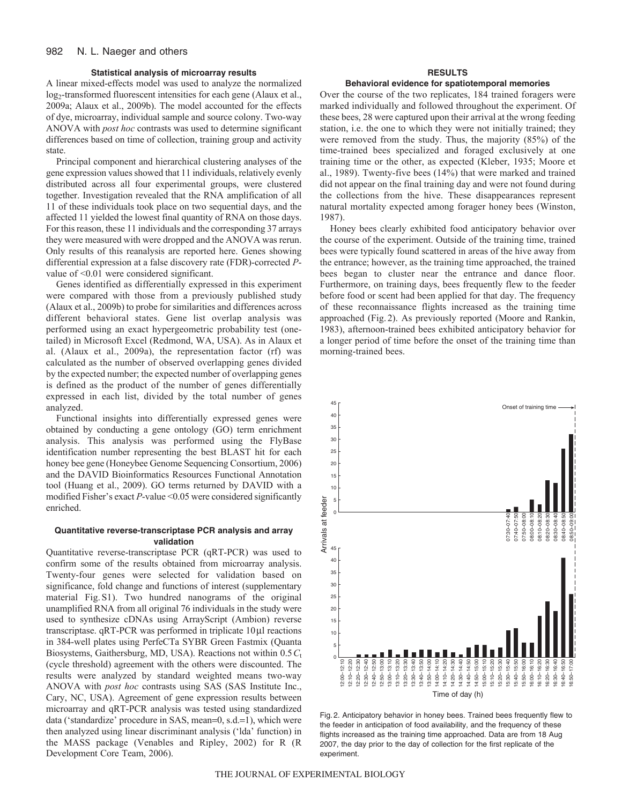#### **Statistical analysis of microarray results**

A linear mixed-effects model was used to analyze the normalized log2-transformed fluorescent intensities for each gene (Alaux et al., 2009a; Alaux et al., 2009b). The model accounted for the effects of dye, microarray, individual sample and source colony. Two-way ANOVA with *post hoc* contrasts was used to determine significant differences based on time of collection, training group and activity state.

Principal component and hierarchical clustering analyses of the gene expression values showed that 11 individuals, relatively evenly distributed across all four experimental groups, were clustered together. Investigation revealed that the RNA amplification of all 11 of these individuals took place on two sequential days, and the affected 11 yielded the lowest final quantity of RNA on those days. For this reason, these 11 individuals and the corresponding 37 arrays they were measured with were dropped and the ANOVA was rerun. Only results of this reanalysis are reported here. Genes showing differential expression at a false discovery rate (FDR)-corrected *P*value of <0.01 were considered significant.

Genes identified as differentially expressed in this experiment were compared with those from a previously published study (Alaux et al., 2009b) to probe for similarities and differences across different behavioral states. Gene list overlap analysis was performed using an exact hypergeometric probability test (onetailed) in Microsoft Excel (Redmond, WA, USA). As in Alaux et al. (Alaux et al., 2009a), the representation factor (rf) was calculated as the number of observed overlapping genes divided by the expected number; the expected number of overlapping genes is defined as the product of the number of genes differentially expressed in each list, divided by the total number of genes analyzed.

Functional insights into differentially expressed genes were obtained by conducting a gene ontology (GO) term enrichment analysis. This analysis was performed using the FlyBase identification number representing the best BLAST hit for each honey bee gene (Honeybee Genome Sequencing Consortium, 2006) and the DAVID Bioinformatics Resources Functional Annotation tool (Huang et al., 2009). GO terms returned by DAVID with a modified Fisher's exact *P*-value <0.05 were considered significantly enriched.

#### **Quantitative reverse-transcriptase PCR analysis and array validation**

Quantitative reverse-transcriptase PCR (qRT-PCR) was used to confirm some of the results obtained from microarray analysis. Twenty-four genes were selected for validation based on significance, fold change and functions of interest (supplementary material Fig. S1). Two hundred nanograms of the original unamplified RNA from all original 76 individuals in the study were used to synthesize cDNAs using ArrayScript (Ambion) reverse transcriptase.  $qRT-PCR$  was performed in triplicate  $10 \mu l$  reactions in 384-well plates using PerfeCTa SYBR Green Fastmix (Quanta Biosystems, Gaithersburg, MD, USA). Reactions not within 0.5*C*<sup>t</sup> (cycle threshold) agreement with the others were discounted. The results were analyzed by standard weighted means two-way ANOVA with *post hoc* contrasts using SAS (SAS Institute Inc., Cary, NC, USA). Agreement of gene expression results between microarray and qRT-PCR analysis was tested using standardized data ('standardize' procedure in SAS, mean=0, s.d.=1), which were then analyzed using linear discriminant analysis ('lda' function) in the MASS package (Venables and Ripley, 2002) for R (R Development Core Team, 2006).

#### **RESULTS**

# **Behavioral evidence for spatiotemporal memories**

Over the course of the two replicates, 184 trained foragers were marked individually and followed throughout the experiment. Of these bees, 28 were captured upon their arrival at the wrong feeding station, i.e. the one to which they were not initially trained; they were removed from the study. Thus, the majority (85%) of the time-trained bees specialized and foraged exclusively at one training time or the other, as expected (Kleber, 1935; Moore et al., 1989). Twenty-five bees (14%) that were marked and trained did not appear on the final training day and were not found during the collections from the hive. These disappearances represent natural mortality expected among forager honey bees (Winston, 1987).

Honey bees clearly exhibited food anticipatory behavior over the course of the experiment. Outside of the training time, trained bees were typically found scattered in areas of the hive away from the entrance; however, as the training time approached, the trained bees began to cluster near the entrance and dance floor. Furthermore, on training days, bees frequently flew to the feeder before food or scent had been applied for that day. The frequency of these reconnaissance flights increased as the training time approached (Fig. 2). As previously reported (Moore and Rankin, 1983), afternoon-trained bees exhibited anticipatory behavior for a longer period of time before the onset of the training time than morning-trained bees.



Fig. 2. Anticipatory behavior in honey bees. Trained bees frequently flew to the feeder in anticipation of food availability, and the frequency of these flights increased as the training time approached. Data are from 18 Aug 2007, the day prior to the day of collection for the first replicate of the experiment.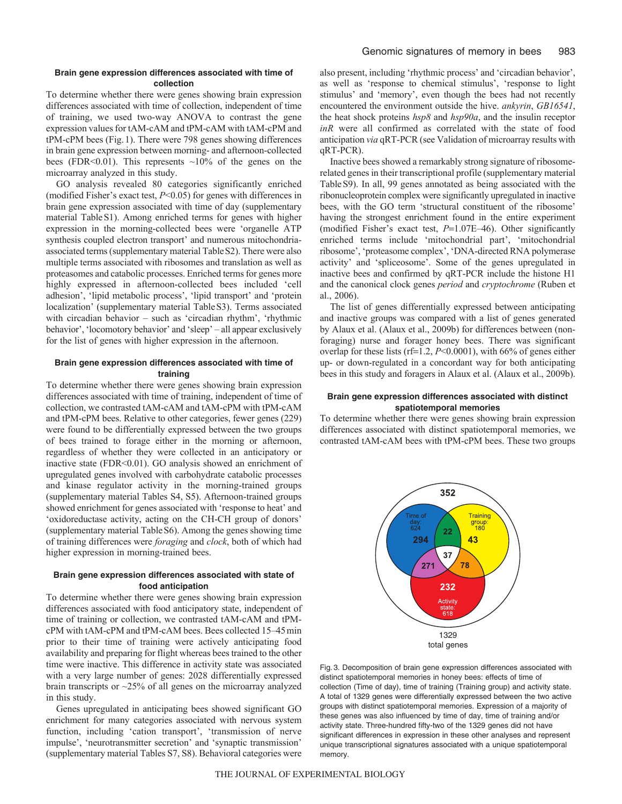## **Brain gene expression differences associated with time of collection**

To determine whether there were genes showing brain expression differences associated with time of collection, independent of time of training, we used two-way ANOVA to contrast the gene expression values for tAM-cAM and tPM-cAM with tAM-cPM and tPM-cPM bees (Fig.1). There were 798 genes showing differences in brain gene expression between morning- and afternoon-collected bees (FDR<0.01). This represents  $\sim$ 10% of the genes on the microarray analyzed in this study.

GO analysis revealed 80 categories significantly enriched (modified Fisher's exact test, *P*<0.05) for genes with differences in brain gene expression associated with time of day (supplementary material TableS1). Among enriched terms for genes with higher expression in the morning-collected bees were 'organelle ATP synthesis coupled electron transport' and numerous mitochondriaassociated terms (supplementary material TableS2). There were also multiple terms associated with ribosomes and translation as well as proteasomes and catabolic processes. Enriched terms for genes more highly expressed in afternoon-collected bees included 'cell adhesion', 'lipid metabolic process', 'lipid transport' and 'protein localization' (supplementary material TableS3). Terms associated with circadian behavior – such as 'circadian rhythm', 'rhythmic behavior', 'locomotory behavior' and 'sleep' – all appear exclusively for the list of genes with higher expression in the afternoon.

#### **Brain gene expression differences associated with time of training**

To determine whether there were genes showing brain expression differences associated with time of training, independent of time of collection, we contrasted tAM-cAM and tAM-cPM with tPM-cAM and tPM-cPM bees. Relative to other categories, fewer genes (229) were found to be differentially expressed between the two groups of bees trained to forage either in the morning or afternoon, regardless of whether they were collected in an anticipatory or inactive state (FDR<0.01). GO analysis showed an enrichment of upregulated genes involved with carbohydrate catabolic processes and kinase regulator activity in the morning-trained groups (supplementary material Tables S4, S5). Afternoon-trained groups showed enrichment for genes associated with 'response to heat' and 'oxidoreductase activity, acting on the CH-CH group of donors' (supplementary material TableS6). Among the genes showing time of training differences were *foraging* and *clock*, both of which had higher expression in morning-trained bees.

## **Brain gene expression differences associated with state of food anticipation**

To determine whether there were genes showing brain expression differences associated with food anticipatory state, independent of time of training or collection, we contrasted tAM-cAM and tPMcPM with tAM-cPM and tPM-cAM bees. Bees collected 15–45min prior to their time of training were actively anticipating food availability and preparing for flight whereas bees trained to the other time were inactive. This difference in activity state was associated with a very large number of genes: 2028 differentially expressed brain transcripts or ~25% of all genes on the microarray analyzed in this study.

Genes upregulated in anticipating bees showed significant GO enrichment for many categories associated with nervous system function, including 'cation transport', 'transmission of nerve impulse', 'neurotransmitter secretion' and 'synaptic transmission' (supplementary material Tables S7, S8). Behavioral categories were also present, including 'rhythmic process' and 'circadian behavior', as well as 'response to chemical stimulus', 'response to light stimulus' and 'memory', even though the bees had not recently encountered the environment outside the hive. *ankyrin*, *GB16541*, the heat shock proteins *hsp8* and *hsp90a*, and the insulin receptor *inR* were all confirmed as correlated with the state of food anticipation *via* qRT-PCR (see Validation of microarray results with qRT-PCR).

Inactive bees showed a remarkably strong signature of ribosomerelated genes in their transcriptional profile (supplementary material TableS9). In all, 99 genes annotated as being associated with the ribonucleoprotein complex were significantly upregulated in inactive bees, with the GO term 'structural constituent of the ribosome' having the strongest enrichment found in the entire experiment (modified Fisher's exact test, *P*=1.07E-46). Other significantly enriched terms include 'mitochondrial part', 'mitochondrial ribosome', 'proteasome complex', 'DNA-directed RNA polymerase activity' and 'spliceosome'. Some of the genes upregulated in inactive bees and confirmed by qRT-PCR include the histone H1 and the canonical clock genes *period* and *cryptochrome* (Ruben et al., 2006).

The list of genes differentially expressed between anticipating and inactive groups was compared with a list of genes generated by Alaux et al. (Alaux et al., 2009b) for differences between (nonforaging) nurse and forager honey bees. There was significant overlap for these lists (rf= $1.2$ ,  $P<0.0001$ ), with 66% of genes either up- or down-regulated in a concordant way for both anticipating bees in this study and foragers in Alaux et al. (Alaux et al., 2009b).

## **Brain gene expression differences associated with distinct spatiotemporal memories**

To determine whether there were genes showing brain expression differences associated with distinct spatiotemporal memories, we contrasted tAM-cAM bees with tPM-cPM bees. These two groups



Fig. 3. Decomposition of brain gene expression differences associated with distinct spatiotemporal memories in honey bees: effects of time of collection (Time of day), time of training (Training group) and activity state. A total of 1329 genes were differentially expressed between the two active groups with distinct spatiotemporal memories. Expression of a majority of these genes was also influenced by time of day, time of training and/or activity state. Three-hundred fifty-two of the 1329 genes did not have significant differences in expression in these other analyses and represent unique transcriptional signatures associated with a unique spatiotemporal memory.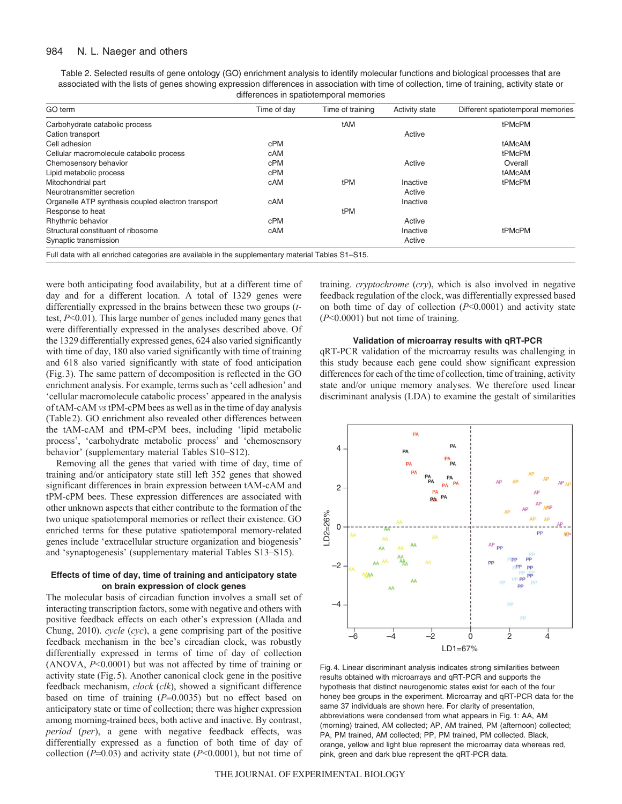#### 984 N. L. Naeger and others

Table 2. Selected results of gene ontology (GO) enrichment analysis to identify molecular functions and biological processes that are associated with the lists of genes showing expression differences in association with time of collection, time of training, activity state or differences in spatiotemporal memories

| GO term                                                                                           | Time of dav | Time of training | Activity state | Different spatiotemporal memories |
|---------------------------------------------------------------------------------------------------|-------------|------------------|----------------|-----------------------------------|
| Carbohydrate catabolic process                                                                    |             | tAM              |                | tPMcPM                            |
| Cation transport                                                                                  |             |                  | Active         |                                   |
| Cell adhesion                                                                                     | $c$ PM      |                  |                | tAMcAM                            |
| Cellular macromolecule catabolic process                                                          | cAM         |                  |                | tPMcPM                            |
| Chemosensory behavior                                                                             | cPM         |                  | Active         | Overall                           |
| Lipid metabolic process                                                                           | cPM         |                  |                | tAMcAM                            |
| Mitochondrial part                                                                                | cAM         | tPM              | Inactive       | tPMcPM                            |
| Neurotransmitter secretion                                                                        |             |                  | Active         |                                   |
| Organelle ATP synthesis coupled electron transport                                                | cAM         |                  | Inactive       |                                   |
| Response to heat                                                                                  |             | tPM              |                |                                   |
| Rhythmic behavior                                                                                 | cPM         |                  | Active         |                                   |
| Structural constituent of ribosome                                                                | cAM         |                  | Inactive       | <b>tPMcPM</b>                     |
| Synaptic transmission                                                                             |             |                  | Active         |                                   |
| Full data with all enriched categories are available in the supplementary material Tables S1-S15. |             |                  |                |                                   |

were both anticipating food availability, but at a different time of day and for a different location. A total of 1329 genes were differentially expressed in the brains between these two groups (*t*test, *P*<0.01). This large number of genes included many genes that were differentially expressed in the analyses described above. Of the 1329 differentially expressed genes, 624 also varied significantly with time of day, 180 also varied significantly with time of training and 618 also varied significantly with state of food anticipation (Fig.3). The same pattern of decomposition is reflected in the GO enrichment analysis. For example, terms such as 'cell adhesion' and 'cellular macromolecule catabolic process' appeared in the analysis of tAM-cAM *vs*tPM-cPM bees as well as in the time of day analysis (Table2). GO enrichment also revealed other differences between the tAM-cAM and tPM-cPM bees, including 'lipid metabolic process', 'carbohydrate metabolic process' and 'chemosensory behavior' (supplementary material Tables S10–S12).

Removing all the genes that varied with time of day, time of training and/or anticipatory state still left 352 genes that showed significant differences in brain expression between tAM-cAM and tPM-cPM bees. These expression differences are associated with other unknown aspects that either contribute to the formation of the two unique spatiotemporal memories or reflect their existence. GO enriched terms for these putative spatiotemporal memory-related genes include 'extracellular structure organization and biogenesis' and 'synaptogenesis' (supplementary material Tables S13–S15).

## **Effects of time of day, time of training and anticipatory state on brain expression of clock genes**

The molecular basis of circadian function involves a small set of interacting transcription factors, some with negative and others with positive feedback effects on each other's expression (Allada and Chung, 2010). *cycle* (*cyc*), a gene comprising part of the positive feedback mechanism in the bee's circadian clock, was robustly differentially expressed in terms of time of day of collection (ANOVA, *P*<0.0001) but was not affected by time of training or activity state (Fig.5). Another canonical clock gene in the positive feedback mechanism, *clock* (*clk*), showed a significant difference based on time of training  $(P=0.0035)$  but no effect based on anticipatory state or time of collection; there was higher expression among morning-trained bees, both active and inactive. By contrast, *period* (*per*), a gene with negative feedback effects, was differentially expressed as a function of both time of day of collection  $(P=0.03)$  and activity state  $(P<0.0001)$ , but not time of training. *cryptochrome* (*cry*), which is also involved in negative feedback regulation of the clock, was differentially expressed based on both time of day of collection (*P*<0.0001) and activity state (*P*<0.0001) but not time of training.

## **Validation of microarray results with qRT-PCR**

qRT-PCR validation of the microarray results was challenging in this study because each gene could show significant expression differences for each of the time of collection, time of training, activity state and/or unique memory analyses. We therefore used linear discriminant analysis (LDA) to examine the gestalt of similarities



Fig. 4. Linear discriminant analysis indicates strong similarities between results obtained with microarrays and qRT-PCR and supports the hypothesis that distinct neurogenomic states exist for each of the four honey bee groups in the experiment. Microarray and qRT-PCR data for the same 37 individuals are shown here. For clarity of presentation, abbreviations were condensed from what appears in Fig. 1: AA, AM (morning) trained, AM collected; AP, AM trained, PM (afternoon) collected; PA, PM trained, AM collected; PP, PM trained, PM collected. Black, orange, yellow and light blue represent the microarray data whereas red, pink, green and dark blue represent the qRT-PCR data.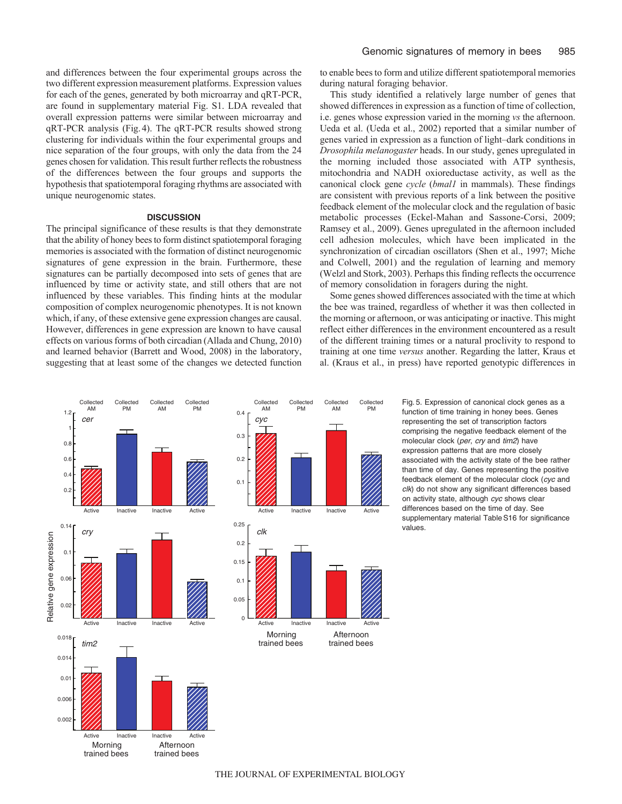and differences between the four experimental groups across the two different expression measurement platforms. Expression values for each of the genes, generated by both microarray and qRT-PCR, are found in supplementary material Fig. S1. LDA revealed that overall expression patterns were similar between microarray and qRT-PCR analysis (Fig.4). The qRT-PCR results showed strong clustering for individuals within the four experimental groups and nice separation of the four groups, with only the data from the 24 genes chosen for validation. This result further reflects the robustness of the differences between the four groups and supports the hypothesis that spatiotemporal foraging rhythms are associated with unique neurogenomic states.

#### **DISCUSSION**

The principal significance of these results is that they demonstrate that the ability of honey bees to form distinct spatiotemporal foraging memories is associated with the formation of distinct neurogenomic signatures of gene expression in the brain. Furthermore, these signatures can be partially decomposed into sets of genes that are influenced by time or activity state, and still others that are not influenced by these variables. This finding hints at the modular composition of complex neurogenomic phenotypes. It is not known which, if any, of these extensive gene expression changes are causal. However, differences in gene expression are known to have causal effects on various forms of both circadian (Allada and Chung, 2010) and learned behavior (Barrett and Wood, 2008) in the laboratory, suggesting that at least some of the changes we detected function

Active Inactive Inactive Active

Afternoon trained bees

0.002 0.006

0.01

0.014 0.018

0.02

0.06

Relative gene expression

Relative gene expression

 $0.1$ 

 $0.14$ 

 $0.2$  $0.4$ 0.6 0.8 1 1.2

*cry*

*cer*

Collected AM

Collected PM

*tim2*

Morning trained bees to enable bees to form and utilize different spatiotemporal memories during natural foraging behavior.

This study identified a relatively large number of genes that showed differences in expression as a function of time of collection, i.e. genes whose expression varied in the morning *vs* the afternoon. Ueda et al. (Ueda et al., 2002) reported that a similar number of genes varied in expression as a function of light–dark conditions in *Drosophila melanogaster* heads. In our study, genes upregulated in the morning included those associated with ATP synthesis, mitochondria and NADH oxioreductase activity, as well as the canonical clock gene *cycle* (*bmal1* in mammals). These findings are consistent with previous reports of a link between the positive feedback element of the molecular clock and the regulation of basic metabolic processes (Eckel-Mahan and Sassone-Corsi, 2009; Ramsey et al., 2009). Genes upregulated in the afternoon included cell adhesion molecules, which have been implicated in the synchronization of circadian oscillators (Shen et al., 1997; Miche and Colwell, 2001) and the regulation of learning and memory (Welzl and Stork, 2003). Perhaps this finding reflects the occurrence of memory consolidation in foragers during the night.

Some genes showed differences associated with the time at which the bee was trained, regardless of whether it was then collected in the morning or afternoon, or was anticipating or inactive. This might reflect either differences in the environment encountered as a result of the different training times or a natural proclivity to respond to training at one time *versus* another. Regarding the latter, Kraus et al. (Kraus et al., in press) have reported genotypic differences in

Active Inactive Inactive Active Active Inactive Inactive Active Active Inactive Inactive Active 0.1 0.2 0.3 0.4 *cyc* 0 Active Inactive Inactive Active 0.05 0.1 0.15 0.2 0.25 *clk* Collected AM Collected PM Collected AM Collected PM Collected AM Collected PM Morning trained bees Afternoon trained bees values.

Fig. 5. Expression of canonical clock genes as a function of time training in honey bees. Genes representing the set of transcription factors comprising the negative feedback element of the molecular clock (per, cry and tim2) have expression patterns that are more closely associated with the activity state of the bee rather than time of day. Genes representing the positive feedback element of the molecular clock (cyc and clk) do not show any significant differences based on activity state, although cyc shows clear differences based on the time of day. See supplementary material Table S16 for significance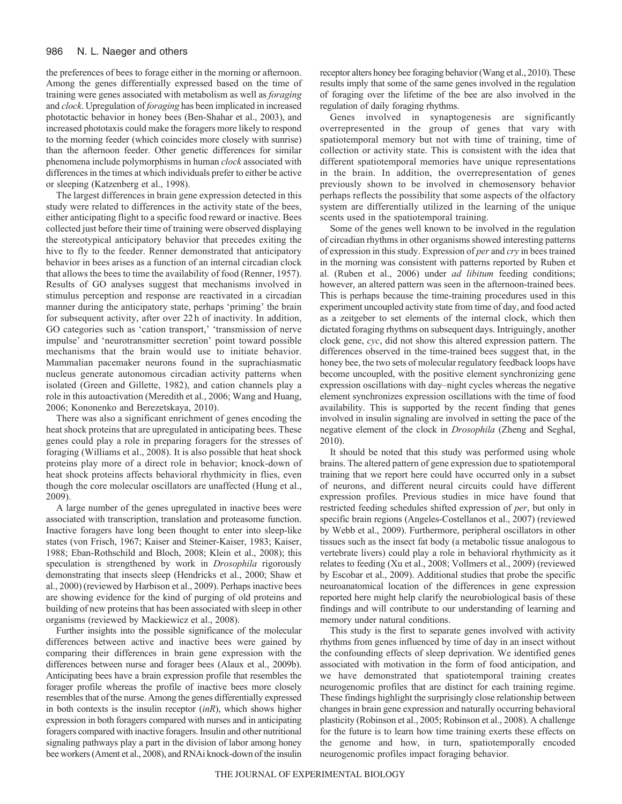the preferences of bees to forage either in the morning or afternoon. Among the genes differentially expressed based on the time of training were genes associated with metabolism as well as *foraging* and *clock*. Upregulation of *foraging* has been implicated in increased phototactic behavior in honey bees (Ben-Shahar et al., 2003), and increased phototaxis could make the foragers more likely to respond to the morning feeder (which coincides more closely with sunrise) than the afternoon feeder. Other genetic differences for similar phenomena include polymorphisms in human *clock* associated with differences in the times at which individuals prefer to either be active or sleeping (Katzenberg et al., 1998).

The largest differences in brain gene expression detected in this study were related to differences in the activity state of the bees, either anticipating flight to a specific food reward or inactive. Bees collected just before their time of training were observed displaying the stereotypical anticipatory behavior that precedes exiting the hive to fly to the feeder. Renner demonstrated that anticipatory behavior in bees arises as a function of an internal circadian clock that allows the bees to time the availability of food (Renner, 1957). Results of GO analyses suggest that mechanisms involved in stimulus perception and response are reactivated in a circadian manner during the anticipatory state, perhaps 'priming' the brain for subsequent activity, after over 22 h of inactivity. In addition, GO categories such as 'cation transport,' 'transmission of nerve impulse' and 'neurotransmitter secretion' point toward possible mechanisms that the brain would use to initiate behavior. Mammalian pacemaker neurons found in the suprachiasmatic nucleus generate autonomous circadian activity patterns when isolated (Green and Gillette, 1982), and cation channels play a role in this autoactivation (Meredith et al., 2006; Wang and Huang, 2006; Kononenko and Berezetskaya, 2010).

There was also a significant enrichment of genes encoding the heat shock proteins that are upregulated in anticipating bees. These genes could play a role in preparing foragers for the stresses of foraging (Williams et al., 2008). It is also possible that heat shock proteins play more of a direct role in behavior; knock-down of heat shock proteins affects behavioral rhythmicity in flies, even though the core molecular oscillators are unaffected (Hung et al., 2009).

A large number of the genes upregulated in inactive bees were associated with transcription, translation and proteasome function. Inactive foragers have long been thought to enter into sleep-like states (von Frisch, 1967; Kaiser and Steiner-Kaiser, 1983; Kaiser, 1988; Eban-Rothschild and Bloch, 2008; Klein et al., 2008); this speculation is strengthened by work in *Drosophila* rigorously demonstrating that insects sleep (Hendricks et al., 2000; Shaw et al., 2000) (reviewed by Harbison et al., 2009). Perhaps inactive bees are showing evidence for the kind of purging of old proteins and building of new proteins that has been associated with sleep in other organisms (reviewed by Mackiewicz et al., 2008).

Further insights into the possible significance of the molecular differences between active and inactive bees were gained by comparing their differences in brain gene expression with the differences between nurse and forager bees (Alaux et al., 2009b). Anticipating bees have a brain expression profile that resembles the forager profile whereas the profile of inactive bees more closely resembles that of the nurse. Among the genes differentially expressed in both contexts is the insulin receptor (*inR*), which shows higher expression in both foragers compared with nurses and in anticipating foragers compared with inactive foragers. Insulin and other nutritional signaling pathways play a part in the division of labor among honey bee workers (Ament et al., 2008), and RNAi knock-down of the insulin

receptor alters honey bee foraging behavior (Wang et al., 2010). These results imply that some of the same genes involved in the regulation of foraging over the lifetime of the bee are also involved in the regulation of daily foraging rhythms.

Genes involved in synaptogenesis are significantly overrepresented in the group of genes that vary with spatiotemporal memory but not with time of training, time of collection or activity state. This is consistent with the idea that different spatiotemporal memories have unique representations in the brain. In addition, the overrepresentation of genes previously shown to be involved in chemosensory behavior perhaps reflects the possibility that some aspects of the olfactory system are differentially utilized in the learning of the unique scents used in the spatiotemporal training.

Some of the genes well known to be involved in the regulation of circadian rhythms in other organisms showed interesting patterns of expression in this study. Expression of *per* and *cry* in bees trained in the morning was consistent with patterns reported by Ruben et al. (Ruben et al., 2006) under *ad libitum* feeding conditions; however, an altered pattern was seen in the afternoon-trained bees. This is perhaps because the time-training procedures used in this experiment uncoupled activity state from time of day, and food acted as a zeitgeber to set elements of the internal clock, which then dictated foraging rhythms on subsequent days. Intriguingly, another clock gene, *cyc*, did not show this altered expression pattern. The differences observed in the time-trained bees suggest that, in the honey bee, the two sets of molecular regulatory feedback loops have become uncoupled, with the positive element synchronizing gene expression oscillations with day–night cycles whereas the negative element synchronizes expression oscillations with the time of food availability. This is supported by the recent finding that genes involved in insulin signaling are involved in setting the pace of the negative element of the clock in *Drosophila* (Zheng and Seghal, 2010).

It should be noted that this study was performed using whole brains. The altered pattern of gene expression due to spatiotemporal training that we report here could have occurred only in a subset of neurons, and different neural circuits could have different expression profiles. Previous studies in mice have found that restricted feeding schedules shifted expression of *per*, but only in specific brain regions (Angeles-Costellanos et al., 2007) (reviewed by Webb et al., 2009). Furthermore, peripheral oscillators in other tissues such as the insect fat body (a metabolic tissue analogous to vertebrate livers) could play a role in behavioral rhythmicity as it relates to feeding (Xu et al., 2008; Vollmers et al., 2009) (reviewed by Escobar et al., 2009). Additional studies that probe the specific neuroanatomical location of the differences in gene expression reported here might help clarify the neurobiological basis of these findings and will contribute to our understanding of learning and memory under natural conditions.

This study is the first to separate genes involved with activity rhythms from genes influenced by time of day in an insect without the confounding effects of sleep deprivation. We identified genes associated with motivation in the form of food anticipation, and we have demonstrated that spatiotemporal training creates neurogenomic profiles that are distinct for each training regime. These findings highlight the surprisingly close relationship between changes in brain gene expression and naturally occurring behavioral plasticity (Robinson et al., 2005; Robinson et al., 2008). A challenge for the future is to learn how time training exerts these effects on the genome and how, in turn, spatiotemporally encoded neurogenomic profiles impact foraging behavior.